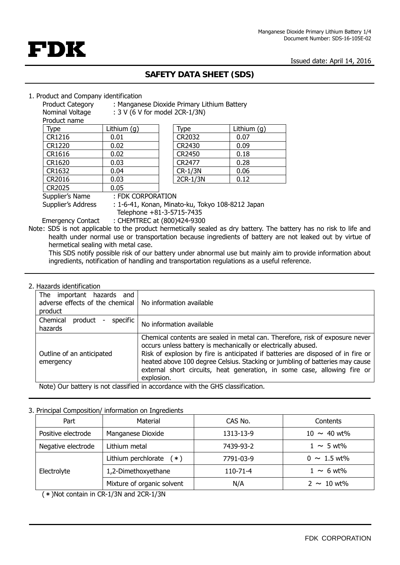

# **FDK**

## **SAFETY DATA SHEET (SDS)**

#### 1. Product and Company identification

| Product Category | : Manganese Dioxide Primary Lithium Battery |  |
|------------------|---------------------------------------------|--|
|                  |                                             |  |

Nominal Voltage : 3 V (6 V for model 2CR-1/3N)

| Product name |             |
|--------------|-------------|
| Type         | Lithium (g) |
| CR1216       | 0.01        |
| CR1220       | 0.02        |
| CR1616       | 0.02        |
| CR1620       | 0.03        |
| CR1632       | 0.04        |
| CR2016       | 0.03        |
| CR2025       | 0.05        |
|              |             |

| Type     | Lithium $(q)$ |
|----------|---------------|
| CR2032   | 0.07          |
| CR2430   | 0.09          |
| CR2450   | 0.18          |
| CR2477   | 0.28          |
| CR-1/3N  | 0.06          |
| 2CR-1/3N | 0.12          |

Supplier's Name : FDK CORPORATION

Supplier's Address : 1-6-41, Konan, Minato-ku, Tokyo 108-8212 Japan

 Telephone +81-3-5715-7435 Emergency Contact : CHEMTREC at (800)424-9300

Note: SDS is not applicable to the product hermetically sealed as dry battery. The battery has no risk to life and health under normal use or transportation because ingredients of battery are not leaked out by virtue of hermetical sealing with metal case.

 ingredients, notification of handling and transportation regulations as a useful reference. This SDS notify possible risk of our battery under abnormal use but mainly aim to provide information about

## 2. Hazards identification

| The important hazards and<br>adverse effects of the chemical<br>product        | No information available                                                                                                                                                                                                                                                                                                                                                                                    |  |
|--------------------------------------------------------------------------------|-------------------------------------------------------------------------------------------------------------------------------------------------------------------------------------------------------------------------------------------------------------------------------------------------------------------------------------------------------------------------------------------------------------|--|
| Chemical<br>specific<br>product<br>hazards                                     | No information available                                                                                                                                                                                                                                                                                                                                                                                    |  |
| Outline of an anticipated<br>emergency                                         | Chemical contents are sealed in metal can. Therefore, risk of exposure never<br>occurs unless battery is mechanically or electrically abused.<br>Risk of explosion by fire is anticipated if batteries are disposed of in fire or<br>heated above 100 degree Celsius. Stacking or jumbling of batteries may cause<br>external short circuits, heat generation, in some case, allowing fire or<br>explosion. |  |
| Note) Our battery is not classified in accordance with the GHS classification. |                                                                                                                                                                                                                                                                                                                                                                                                             |  |

## 3. Principal Composition/ information on Ingredients

| Part               | Material                   | CAS No.        | Contents                  |
|--------------------|----------------------------|----------------|---------------------------|
| Positive electrode | Manganese Dioxide          | 1313-13-9      | $10 \sim 40$ wt%          |
| Negative electrode | Lithium metal              | 7439-93-2      | $1 \sim 5$ wt%            |
| Electrolyte        | Lithium perchlorate $(*)$  | 7791-03-9      | $0 \sim 1.5 \text{ wt\%}$ |
|                    | 1,2-Dimethoxyethane        | $110 - 71 - 4$ | $1 \sim 6$ wt%            |
|                    | Mixture of organic solvent | N/A            | $2 \sim 10$ wt%           |

(\*)Not contain in CR-1/3N and 2CR-1/3N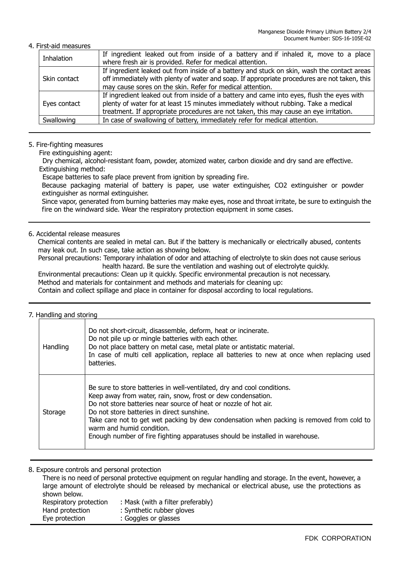#### 4. First-aid measures

| Inhalation   | If ingredient leaked out from inside of a battery and if inhaled it, move to a place         |
|--------------|----------------------------------------------------------------------------------------------|
|              | where fresh air is provided. Refer for medical attention.                                    |
| Skin contact | If ingredient leaked out from inside of a battery and stuck on skin, wash the contact areas  |
|              | off immediately with plenty of water and soap. If appropriate procedures are not taken, this |
|              | may cause sores on the skin. Refer for medical attention.                                    |
| Eyes contact | If ingredient leaked out from inside of a battery and came into eyes, flush the eyes with    |
|              | plenty of water for at least 15 minutes immediately without rubbing. Take a medical          |
|              | treatment. If appropriate procedures are not taken, this may cause an eye irritation.        |
| Swallowing   | In case of swallowing of battery, immediately refer for medical attention.                   |
|              |                                                                                              |

#### 5. Fire-fighting measures

Fire extinguishing agent:

Dry chemical, alcohol-resistant foam, powder, atomized water, carbon dioxide and dry sand are effective. Extinguishing method:

Escape batteries to safe place prevent from ignition by spreading fire.

Because packaging material of battery is paper, use water extinguisher, CO2 extinguisher or powder extinguisher as normal extinguisher.

Since vapor, generated from burning batteries may make eyes, nose and throat irritate, be sure to extinguish the fire on the windward side. Wear the respiratory protection equipment in some cases.

#### 6. Accidental release measures

Chemical contents are sealed in metal can. But if the battery is mechanically or electrically abused, contents may leak out. In such case, take action as showing below.

Personal precautions: Temporary inhalation of odor and attaching of electrolyte to skin does not cause serious health hazard. Be sure the ventilation and washing out of electrolyte quickly.

Environmental precautions: Clean up it quickly. Specific environmental precaution is not necessary. Method and materials for containment and methods and materials for cleaning up: Contain and collect spillage and place in container for disposal according to local regulations.

#### 7. Handling and storing

| Handling | Do not short-circuit, disassemble, deform, heat or incinerate.<br>Do not pile up or mingle batteries with each other.<br>Do not place battery on metal case, metal plate or antistatic material.<br>In case of multi cell application, replace all batteries to new at once when replacing used<br>batteries.                                                                                                                                                       |
|----------|---------------------------------------------------------------------------------------------------------------------------------------------------------------------------------------------------------------------------------------------------------------------------------------------------------------------------------------------------------------------------------------------------------------------------------------------------------------------|
| Storage  | Be sure to store batteries in well-ventilated, dry and cool conditions.<br>Keep away from water, rain, snow, frost or dew condensation.<br>Do not store batteries near source of heat or nozzle of hot air.<br>Do not store batteries in direct sunshine.<br>Take care not to get wet packing by dew condensation when packing is removed from cold to<br>warm and humid condition.<br>Enough number of fire fighting apparatuses should be installed in warehouse. |

8. Exposure controls and personal protection

There is no need of personal protective equipment on regular handling and storage. In the event, however, a large amount of electrolyte should be released by mechanical or electrical abuse, use the protections as shown below. Respiratory protection : Mask (with a filter preferably) Hand protection : Synthetic rubber gloves Eye protection : Goggles or glasses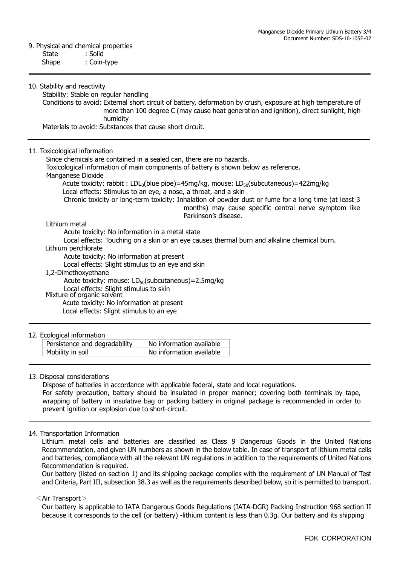#### 9. Physical and chemical properties

| State<br>Shape                | : Solid<br>: Coin-type                                                                                                                                                                                                                                                                                                                                                                                                                                                                                                                                          |
|-------------------------------|-----------------------------------------------------------------------------------------------------------------------------------------------------------------------------------------------------------------------------------------------------------------------------------------------------------------------------------------------------------------------------------------------------------------------------------------------------------------------------------------------------------------------------------------------------------------|
| 10. Stability and reactivity  | Stability: Stable on regular handling<br>Conditions to avoid: External short circuit of battery, deformation by crush, exposure at high temperature of<br>more than 100 degree C (may cause heat generation and ignition), direct sunlight, high<br>humidity                                                                                                                                                                                                                                                                                                    |
|                               | Materials to avoid: Substances that cause short circuit.                                                                                                                                                                                                                                                                                                                                                                                                                                                                                                        |
| 11. Toxicological information | Since chemicals are contained in a sealed can, there are no hazards.<br>Toxicological information of main components of battery is shown below as reference.<br>Manganese Dioxide<br>Acute toxicity: rabbit: LDL <sub>0</sub> (blue pipe)=45mg/kg, mouse: LD <sub>50</sub> (subcutaneous)=422mg/kg<br>Local effects: Stimulus to an eye, a nose, a throat, and a skin<br>Chronic toxicity or long-term toxicity: Inhalation of powder dust or fume for a long time (at least 3<br>months) may cause specific central nerve symptom like<br>Parkinson's disease. |

#### Lithium metal

Acute toxicity: No information in a metal state

Local effects: Touching on a skin or an eye causes thermal burn and alkaline chemical burn.

#### Lithium perchlorate

Acute toxicity: No information at present

Local effects: Slight stimulus to an eye and skin

1,2-Dimethoxyethane

Acute toxicity: mouse:  $LD_{50}$ (subcutaneous)=2.5mg/kg

Local effects: Slight stimulus to skin Mixture of organic solvent

Acute toxicity: No information at present

Local effects: Slight stimulus to an eye

#### 12. Ecological information

| Persistence and degradability | No information available |
|-------------------------------|--------------------------|
| Mobility in soil              | No information available |

#### 13. Disposal considerations

Dispose of batteries in accordance with applicable federal, state and local regulations.

For safety precaution, battery should be insulated in proper manner; covering both terminals by tape, wrapping of battery in insulative bag or packing battery in original package is recommended in order to prevent ignition or explosion due to short-circuit.

#### 14. Transportation Information

 Lithium metal cells and batteries are classified as Class 9 Dangerous Goods in the United Nations Recommendation, and given UN numbers as shown in the below table. In case of transport of lithium metal cells and batteries, compliance with all the relevant UN regulations in addition to the requirements of United Nations Recommendation is required.

Our battery (listed on section 1) and its shipping package complies with the requirement of UN Manual of Test and Criteria, Part III, subsection 38.3 as well as the requirements described below, so it is permitted to transport.

#### <Air Transport>

Our battery is applicable to IATA Dangerous Goods Regulations (IATA-DGR) Packing Instruction 968 section II because it corresponds to the cell (or battery) -lithium content is less than 0.3g. Our battery and its shipping